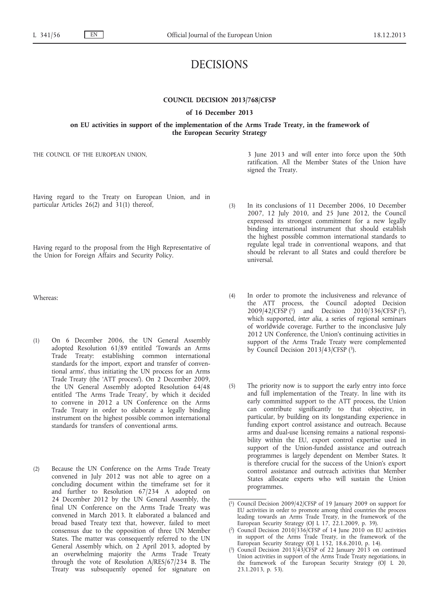# DECISIONS

## **COUNCIL DECISION 2013/768/CFSP**

## **of 16 December 2013**

**on EU activities in support of the implementation of the Arms Trade Treaty, in the framework of the European Security Strategy**

THE COUNCIL OF THE EUROPEAN UNION,

Having regard to the Treaty on European Union, and in particular Articles 26(2) and 31(1) thereof,

Having regard to the proposal from the High Representative of the Union for Foreign Affairs and Security Policy.

Whereas:

- (1) On 6 December 2006, the UN General Assembly adopted Resolution 61/89 entitled 'Towards an Arms Trade Treaty: establishing common international standards for the import, export and transfer of conventional arms', thus initiating the UN process for an Arms Trade Treaty (the 'ATT process'). On 2 December 2009, the UN General Assembly adopted Resolution 64/48 entitled 'The Arms Trade Treaty', by which it decided to convene in 2012 a UN Conference on the Arms Trade Treaty in order to elaborate a legally binding instrument on the highest possible common international standards for transfers of conventional arms.
- (2) Because the UN Conference on the Arms Trade Treaty convened in July 2012 was not able to agree on a concluding document within the timeframe set for it and further to Resolution 67/234 A adopted on 24 December 2012 by the UN General Assembly, the final UN Conference on the Arms Trade Treaty was convened in March 2013. It elaborated a balanced and broad based Treaty text that, however, failed to meet consensus due to the opposition of three UN Member States. The matter was consequently referred to the UN General Assembly which, on 2 April 2013, adopted by an overwhelming majority the Arms Trade Treaty through the vote of Resolution A/RES/67/234 B. The Treaty was subsequently opened for signature on

3 June 2013 and will enter into force upon the 50th ratification. All the Member States of the Union have signed the Treaty.

- (3) In its conclusions of 11 December 2006, 10 December 2007, 12 July 2010, and 25 June 2012, the Council expressed its strongest commitment for a new legally binding international instrument that should establish the highest possible common international standards to regulate legal trade in conventional weapons, and that should be relevant to all States and could therefore be universal.
- (4) In order to promote the inclusiveness and relevance of the ATT process, the Council adopted Decision 2009/42/CFSP (1) and Decision 2010/336/CFSP (2), which supported, *inter alia*, a series of regional seminars of worldwide coverage. Further to the inconclusive July 2012 UN Conference, the Union's continuing activities in support of the Arms Trade Treaty were complemented by Council Decision  $2013/43/CFSP(3)$ .
- (5) The priority now is to support the early entry into force and full implementation of the Treaty. In line with its early committed support to the ATT process, the Union can contribute significantly to that objective, in particular, by building on its longstanding experience in funding export control assistance and outreach. Because arms and dual-use licensing remains a national responsibility within the EU, export control expertise used in support of the Union-funded assistance and outreach programmes is largely dependent on Member States. It is therefore crucial for the success of the Union's export control assistance and outreach activities that Member States allocate experts who will sustain the Union programmes.

<sup>(</sup> 1) Council Decision 2009/42/CFSP of 19 January 2009 on support for EU activities in order to promote among third countries the process leading towards an Arms Trade Treaty, in the framework of the European Security Strategy (OJ L 17, 22.1.2009, p. 39).

<sup>(</sup> 2) Council Decision 2010/336/CFSP of 14 June 2010 on EU activities in support of the Arms Trade Treaty, in the framework of the European Security Strategy (OJ L 152, 18.6.2010, p. 14).

<sup>(</sup> 3) Council Decision 2013/43/CFSP of 22 January 2013 on continued Union activities in support of the Arms Trade Treaty negotiations, in the framework of the European Security Strategy (OJ L 20, 23.1.2013, p. 53).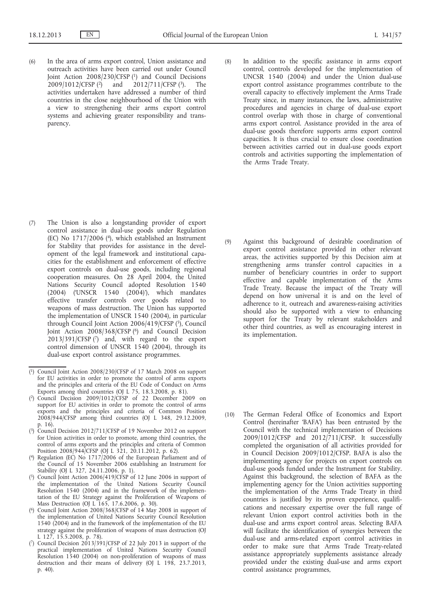- (6) In the area of arms export control, Union assistance and outreach activities have been carried out under Council Joint Action 2008/230/CFSP <sup>(1</sup>) and Council Decisions 2009/1012/CFSP <sup>(2</sup>) and 2012/711/CFSP <sup>(3</sup>). The 2009/1012/CFSP (2) and 2012/711/CFSP (3). The activities undertaken have addressed a number of third countries in the close neighbourhood of the Union with a view to strengthening their arms export control systems and achieving greater responsibility and transparency.
- (8) In addition to the specific assistance in arms export control, controls developed for the implementation of UNCSR 1540 (2004) and under the Union dual-use export control assistance programmes contribute to the overall capacity to effectively implement the Arms Trade Treaty since, in many instances, the laws, administrative procedures and agencies in charge of dual-use export control overlap with those in charge of conventional arms export control. Assistance provided in the area of dual-use goods therefore supports arms export control capacities. It is thus crucial to ensure close coordination between activities carried out in dual-use goods export controls and activities supporting the implementation of the Arms Trade Treaty.
- (7) The Union is also a longstanding provider of export control assistance in dual-use goods under Regulation (EC) No 1717/2006 (4), which established an Instrument for Stability that provides for assistance in the development of the legal framework and institutional capacities for the establishment and enforcement of effective export controls on dual-use goods, including regional cooperation measures. On 28 April 2004, the United Nations Security Council adopted Resolution 1540 (2004) ('UNSCR 1540 (2004)'), which mandates effective transfer controls over goods related to weapons of mass destruction. The Union has supported the implementation of UNSCR 1540 (2004), in particular through Council Joint Action 2006/419/CFSP (5), Council Joint Action 2008/368/CFSP (6) and Council Decision  $2013/391/CFSP$  (7) and, with regard to the export control dimension of UNSCR 1540 (2004), through its dual-use export control assistance programmes.

- ( 2) Council Decision 2009/1012/CFSP of 22 December 2009 on support for EU activities in order to promote the control of arms exports and the principles and criteria of Common Position 2008/944/CFSP among third countries (OJ L 348, 29.12.2009, p. 16).
- ( 3) Council Decision 2012/711/CFSP of 19 November 2012 on support for Union activities in order to promote, among third countries, the control of arms exports and the principles and criteria of Common Position 2008/944/CFSP (OJ L 321, 20.11.2012, p. 62).
- ( 4) Regulation (EC) No 1717/2006 of the European Parliament and of the Council of 15 November 2006 establishing an Instrument for Stability (OJ L 327, 24.11.2006, p. 1).
- ( 5) Council Joint Action 2006/419/CFSP of 12 June 2006 in support of the implementation of the United Nations Security Council Resolution 1540 (2004) and in the framework of the implementation of the EU Strategy against the Proliferation of Weapons of Mass Destruction (OJ L 165, 17.6.2006, p. 30).
- ( 6) Council Joint Action 2008/368/CFSP of 14 May 2008 in support of the implementation of United Nations Security Council Resolution 1540 (2004) and in the framework of the implementation of the EU strategy against the proliferation of weapons of mass destruction (OJ L 127, 15.5.2008, p. 78).
- ( 7) Council Decision 2013/391/CFSP of 22 July 2013 in support of the practical implementation of United Nations Security Council Resolution 1540 (2004) on non-proliferation of weapons of mass destruction and their means of delivery (OJ L 198, 23.7.2013, p. 40).

(9) Against this background of desirable coordination of export control assistance provided in other relevant areas, the activities supported by this Decision aim at strengthening arms transfer control capacities in a number of beneficiary countries in order to support effective and capable implementation of the Arms Trade Treaty. Because the impact of the Treaty will depend on how universal it is and on the level of adherence to it, outreach and awareness-raising activities should also be supported with a view to enhancing support for the Treaty by relevant stakeholders and other third countries, as well as encouraging interest in its implementation.

(10) The German Federal Office of Economics and Export Control (hereinafter 'BAFA') has been entrusted by the Council with the technical implementation of Decisions 2009/1012/CFSP and 2012/711/CFSP. It successfully completed the organisation of all activities provided for in Council Decision 2009/1012/CFSP. BAFA is also the implementing agency for projects on export controls on dual-use goods funded under the Instrument for Stability. Against this background, the selection of BAFA as the implementing agency for the Union activities supporting the implementation of the Arms Trade Treaty in third countries is justified by its proven experience, qualifications and necessary expertise over the full range of relevant Union export control activities both in the dual-use and arms export control areas. Selecting BAFA will facilitate the identification of synergies between the dual-use and arms-related export control activities in order to make sure that Arms Trade Treaty-related assistance appropriately supplements assistance already provided under the existing dual-use and arms export control assistance programmes,

<sup>(</sup> 1) Council Joint Action 2008/230/CFSP of 17 March 2008 on support for EU activities in order to promote the control of arms exports and the principles and criteria of the EU Code of Conduct on Arms Exports among third countries (OJ L 75, 18.3.2008, p. 81).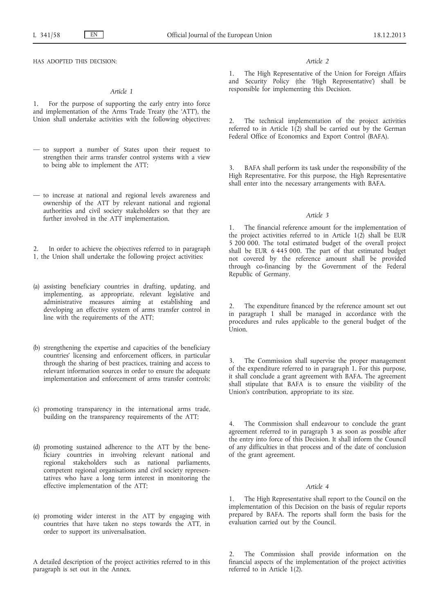HAS ADOPTED THIS DECISION:

## *Article 1*

1. For the purpose of supporting the early entry into force and implementation of the Arms Trade Treaty (the 'ATT'), the Union shall undertake activities with the following objectives:

- to support a number of States upon their request to strengthen their arms transfer control systems with a view to being able to implement the ATT;
- to increase at national and regional levels awareness and ownership of the ATT by relevant national and regional authorities and civil society stakeholders so that they are further involved in the ATT implementation.
- In order to achieve the objectives referred to in paragraph 1, the Union shall undertake the following project activities:
- (a) assisting beneficiary countries in drafting, updating, and implementing, as appropriate, relevant legislative and administrative measures aiming at establishing and developing an effective system of arms transfer control in line with the requirements of the ATT;
- (b) strengthening the expertise and capacities of the beneficiary countries' licensing and enforcement officers, in particular through the sharing of best practices, training and access to relevant information sources in order to ensure the adequate implementation and enforcement of arms transfer controls;
- (c) promoting transparency in the international arms trade, building on the transparency requirements of the ATT;
- (d) promoting sustained adherence to the ATT by the beneficiary countries in involving relevant national and regional stakeholders such as national parliaments, competent regional organisations and civil society representatives who have a long term interest in monitoring the effective implementation of the ATT;
- (e) promoting wider interest in the ATT by engaging with countries that have taken no steps towards the ATT, in order to support its universalisation.

A detailed description of the project activities referred to in this paragraph is set out in the Annex.

## *Article 2*

1. The High Representative of the Union for Foreign Affairs and Security Policy (the 'High Representative') shall be responsible for implementing this Decision.

2. The technical implementation of the project activities referred to in Article  $1(2)$  shall be carried out by the German Federal Office of Economics and Export Control (BAFA).

3. BAFA shall perform its task under the responsibility of the High Representative. For this purpose, the High Representative shall enter into the necessary arrangements with BAFA.

## *Article 3*

The financial reference amount for the implementation of the project activities referred to in Article  $1(2)$  shall be EUR 5 200 000. The total estimated budget of the overall project shall be EUR 6 445 000. The part of that estimated budget not covered by the reference amount shall be provided through co-financing by the Government of the Federal Republic of Germany.

2. The expenditure financed by the reference amount set out in paragraph 1 shall be managed in accordance with the procedures and rules applicable to the general budget of the Union.

3. The Commission shall supervise the proper management of the expenditure referred to in paragraph 1. For this purpose, it shall conclude a grant agreement with BAFA. The agreement shall stipulate that BAFA is to ensure the visibility of the Union's contribution, appropriate to its size.

4. The Commission shall endeavour to conclude the grant agreement referred to in paragraph 3 as soon as possible after the entry into force of this Decision. It shall inform the Council of any difficulties in that process and of the date of conclusion of the grant agreement.

## *Article 4*

1. The High Representative shall report to the Council on the implementation of this Decision on the basis of regular reports prepared by BAFA. The reports shall form the basis for the evaluation carried out by the Council.

The Commission shall provide information on the financial aspects of the implementation of the project activities referred to in Article 1(2).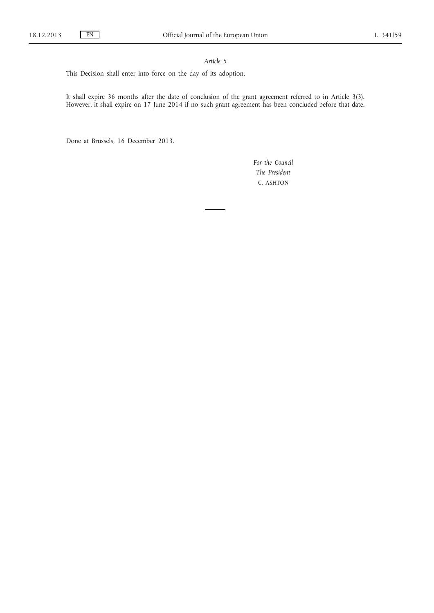## *Article 5*

This Decision shall enter into force on the day of its adoption.

It shall expire 36 months after the date of conclusion of the grant agreement referred to in Article 3(3). However, it shall expire on 17 June 2014 if no such grant agreement has been concluded before that date.

Done at Brussels, 16 December 2013.

*For the Council The President* C. ASHTON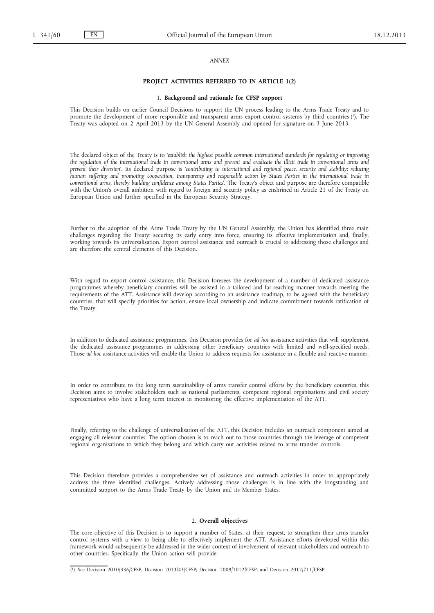## *ANNEX*

#### **PROJECT ACTIVITIES REFERRED TO IN ARTICLE 1(2)**

#### 1. **Background and rationale for CFSP support**

This Decision builds on earlier Council Decisions to support the UN process leading to the Arms Trade Treaty and to promote the development of more responsible and transparent arms export control systems by third countries (1). The Treaty was adopted on 2 April 2013 by the UN General Assembly and opened for signature on 3 June 2013.

The declared object of the Treaty is to '*establish the highest possible common international standards for regulating or improving*  the regulation of the international trade in conventional arms and prevent and eradicate the illicit trade in conventional arms and *prevent their diversion*'. Its declared purpose is '*contributing to international and regional peace, security and stability; reducing human suffering and promoting cooperation, transparency and responsible action by States Parties in the international trade in conventional arms, thereby building confidence among States Parties*'. The Treaty's object and purpose are therefore compatible with the Union's overall ambition with regard to foreign and security policy as enshrined in Article 21 of the Treaty on European Union and further specified in the European Security Strategy.

Further to the adoption of the Arms Trade Treaty by the UN General Assembly, the Union has identified three main challenges regarding the Treaty: securing its early entry into force, ensuring its effective implementation and, finally, working towards its universalisation. Export control assistance and outreach is crucial to addressing those challenges and are therefore the central elements of this Decision.

With regard to export control assistance, this Decision foresees the development of a number of dedicated assistance programmes whereby beneficiary countries will be assisted in a tailored and far-reaching manner towards meeting the requirements of the ATT. Assistance will develop according to an assistance roadmap, to be agreed with the beneficiary countries, that will specify priorities for action, ensure local ownership and indicate commitment towards ratification of the Treaty.

In addition to dedicated assistance programmes, this Decision provides for *ad hoc* assistance activities that will supplement the dedicated assistance programmes in addressing other beneficiary countries with limited and well-specified needs. Those *ad hoc* assistance activities will enable the Union to address requests for assistance in a flexible and reactive manner.

In order to contribute to the long term sustainability of arms transfer control efforts by the beneficiary countries, this Decision aims to involve stakeholders such as national parliaments, competent regional organisations and civil society representatives who have a long term interest in monitoring the effective implementation of the ATT.

Finally, referring to the challenge of universalisation of the ATT, this Decision includes an outreach component aimed at engaging all relevant countries. The option chosen is to reach out to those countries through the leverage of competent regional organisations to which they belong and which carry out activities related to arms transfer controls.

This Decision therefore provides a comprehensive set of assistance and outreach activities in order to appropriately address the three identified challenges. Actively addressing those challenges is in line with the longstanding and committed support to the Arms Trade Treaty by the Union and its Member States.

## 2. **Overall objectives**

The core objective of this Decision is to support a number of States, at their request, to strengthen their arms transfer control systems with a view to being able to effectively implement the ATT. Assistance efforts developed within this framework would subsequently be addressed in the wider context of involvement of relevant stakeholders and outreach to other countries. Specifically, the Union action will provide:

<sup>(</sup> 1) See Decision 2010/336/CFSP; Decision 2013/43/CFSP; Decision 2009/1012/CFSP; and Decision 2012/711/CFSP.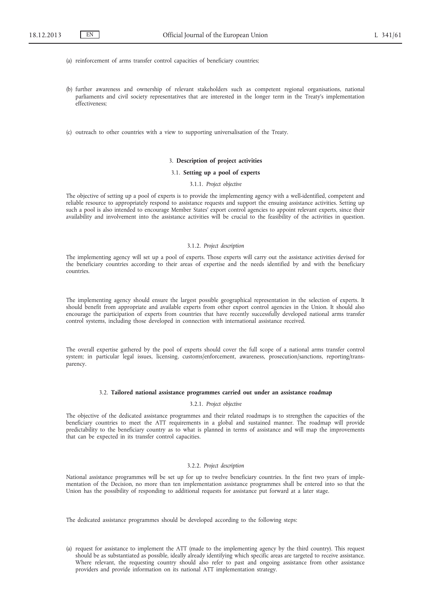- (a) reinforcement of arms transfer control capacities of beneficiary countries;
- (b) further awareness and ownership of relevant stakeholders such as competent regional organisations, national parliaments and civil society representatives that are interested in the longer term in the Treaty's implementation effectiveness;
- (c) outreach to other countries with a view to supporting universalisation of the Treaty.

#### 3. **Description of project activities**

## 3.1. **Setting up a pool of experts**

#### 3.1.1. *Project objective*

The objective of setting up a pool of experts is to provide the implementing agency with a well-identified, competent and reliable resource to appropriately respond to assistance requests and support the ensuing assistance activities. Setting up such a pool is also intended to encourage Member States' export control agencies to appoint relevant experts, since their availability and involvement into the assistance activities will be crucial to the feasibility of the activities in question.

#### 3.1.2. *Project description*

The implementing agency will set up a pool of experts. Those experts will carry out the assistance activities devised for the beneficiary countries according to their areas of expertise and the needs identified by and with the beneficiary countries.

The implementing agency should ensure the largest possible geographical representation in the selection of experts. It should benefit from appropriate and available experts from other export control agencies in the Union. It should also encourage the participation of experts from countries that have recently successfully developed national arms transfer control systems, including those developed in connection with international assistance received.

The overall expertise gathered by the pool of experts should cover the full scope of a national arms transfer control system; in particular legal issues, licensing, customs/enforcement, awareness, prosecution/sanctions, reporting/transparency.

#### 3.2. **Tailored national assistance programmes carried out under an assistance roadmap**

## 3.2.1. *Project objective*

The objective of the dedicated assistance programmes and their related roadmaps is to strengthen the capacities of the beneficiary countries to meet the ATT requirements in a global and sustained manner. The roadmap will provide predictability to the beneficiary country as to what is planned in terms of assistance and will map the improvements that can be expected in its transfer control capacities.

## 3.2.2. *Project description*

National assistance programmes will be set up for up to twelve beneficiary countries. In the first two years of implementation of the Decision, no more than ten implementation assistance programmes shall be entered into so that the Union has the possibility of responding to additional requests for assistance put forward at a later stage.

The dedicated assistance programmes should be developed according to the following steps:

<sup>(</sup>a) request for assistance to implement the ATT (made to the implementing agency by the third country). This request should be as substantiated as possible, ideally already identifying which specific areas are targeted to receive assistance. Where relevant, the requesting country should also refer to past and ongoing assistance from other assistance providers and provide information on its national ATT implementation strategy.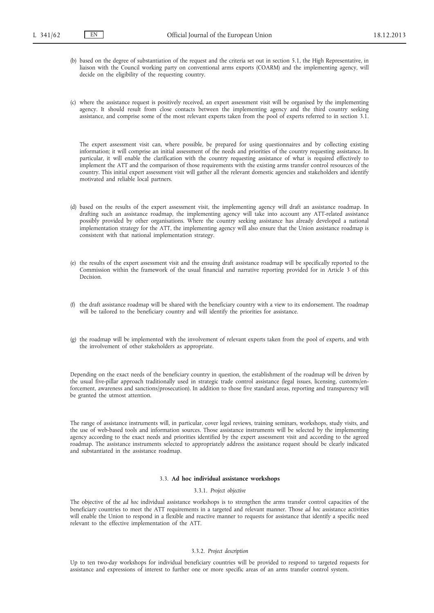- (b) based on the degree of substantiation of the request and the criteria set out in section 5.1, the High Representative, in liaison with the Council working party on conventional arms exports (COARM) and the implementing agency, will decide on the eligibility of the requesting country.
- (c) where the assistance request is positively received, an expert assessment visit will be organised by the implementing agency. It should result from close contacts between the implementing agency and the third country seeking assistance, and comprise some of the most relevant experts taken from the pool of experts referred to in section 3.1.

The expert assessment visit can, where possible, be prepared for using questionnaires and by collecting existing information; it will comprise an initial assessment of the needs and priorities of the country requesting assistance. In particular, it will enable the clarification with the country requesting assistance of what is required effectively to implement the ATT and the comparison of those requirements with the existing arms transfer control resources of the country. This initial expert assessment visit will gather all the relevant domestic agencies and stakeholders and identify motivated and reliable local partners.

- (d) based on the results of the expert assessment visit, the implementing agency will draft an assistance roadmap. In drafting such an assistance roadmap, the implementing agency will take into account any ATT-related assistance possibly provided by other organisations. Where the country seeking assistance has already developed a national implementation strategy for the ATT, the implementing agency will also ensure that the Union assistance roadmap is consistent with that national implementation strategy.
- (e) the results of the expert assessment visit and the ensuing draft assistance roadmap will be specifically reported to the Commission within the framework of the usual financial and narrative reporting provided for in Article 3 of this Decision.
- (f) the draft assistance roadmap will be shared with the beneficiary country with a view to its endorsement. The roadmap will be tailored to the beneficiary country and will identify the priorities for assistance.
- (g) the roadmap will be implemented with the involvement of relevant experts taken from the pool of experts, and with the involvement of other stakeholders as appropriate.

Depending on the exact needs of the beneficiary country in question, the establishment of the roadmap will be driven by the usual five-pillar approach traditionally used in strategic trade control assistance (legal issues, licensing, customs/enforcement, awareness and sanctions/prosecution). In addition to those five standard areas, reporting and transparency will be granted the utmost attention.

The range of assistance instruments will, in particular, cover legal reviews, training seminars, workshops, study visits, and the use of web-based tools and information sources. Those assistance instruments will be selected by the implementing agency according to the exact needs and priorities identified by the expert assessment visit and according to the agreed roadmap. The assistance instruments selected to appropriately address the assistance request should be clearly indicated and substantiated in the assistance roadmap.

## 3.3. **Ad hoc individual assistance workshops**

## 3.3.1. *Project objective*

The objective of the *ad hoc* individual assistance workshops is to strengthen the arms transfer control capacities of the beneficiary countries to meet the ATT requirements in a targeted and relevant manner. Those *ad hoc* assistance activities will enable the Union to respond in a flexible and reactive manner to requests for assistance that identify a specific need relevant to the effective implementation of the ATT.

#### 3.3.2. *Project description*

Up to ten two-day workshops for individual beneficiary countries will be provided to respond to targeted requests for assistance and expressions of interest to further one or more specific areas of an arms transfer control system.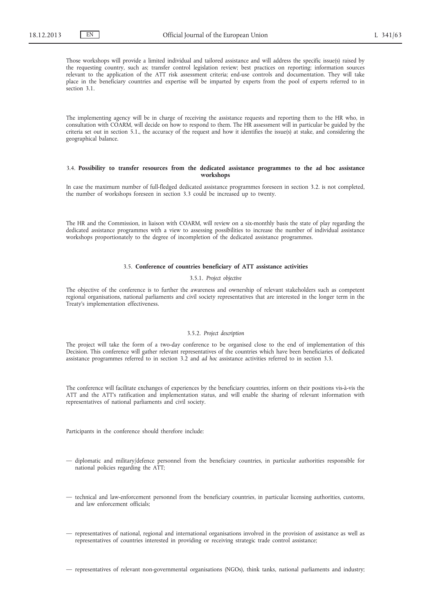Those workshops will provide a limited individual and tailored assistance and will address the specific issue(s) raised by the requesting country, such as; transfer control legislation review; best practices on reporting; information sources relevant to the application of the ATT risk assessment criteria; end-use controls and documentation. They will take place in the beneficiary countries and expertise will be imparted by experts from the pool of experts referred to in section 3.1.

The implementing agency will be in charge of receiving the assistance requests and reporting them to the HR who, in consultation with COARM, will decide on how to respond to them. The HR assessment will in particular be guided by the criteria set out in section 5.1., the accuracy of the request and how it identifies the issue(s) at stake, and considering the geographical balance.

## 3.4. **Possibility to transfer resources from the dedicated assistance programmes to the ad hoc assistance workshops**

In case the maximum number of full-fledged dedicated assistance programmes foreseen in section 3.2. is not completed, the number of workshops foreseen in section 3.3 could be increased up to twenty.

The HR and the Commission, in liaison with COARM, will review on a six-monthly basis the state of play regarding the dedicated assistance programmes with a view to assessing possibilities to increase the number of individual assistance workshops proportionately to the degree of incompletion of the dedicated assistance programmes.

## 3.5. **Conference of countries beneficiary of ATT assistance activities**

#### 3.5.1. *Project objective*

The objective of the conference is to further the awareness and ownership of relevant stakeholders such as competent regional organisations, national parliaments and civil society representatives that are interested in the longer term in the Treaty's implementation effectiveness.

## 3.5.2. *Project description*

The project will take the form of a two-day conference to be organised close to the end of implementation of this Decision. This conference will gather relevant representatives of the countries which have been beneficiaries of dedicated assistance programmes referred to in section 3.2 and *ad hoc* assistance activities referred to in section 3.3.

The conference will facilitate exchanges of experiences by the beneficiary countries, inform on their positions vis-à-vis the ATT and the ATT's ratification and implementation status, and will enable the sharing of relevant information with representatives of national parliaments and civil society.

Participants in the conference should therefore include:

- diplomatic and military/defence personnel from the beneficiary countries, in particular authorities responsible for national policies regarding the ATT;
- technical and law-enforcement personnel from the beneficiary countries, in particular licensing authorities, customs, and law enforcement officials;
- representatives of national, regional and international organisations involved in the provision of assistance as well as representatives of countries interested in providing or receiving strategic trade control assistance;

— representatives of relevant non-governmental organisations (NGOs), think tanks, national parliaments and industry;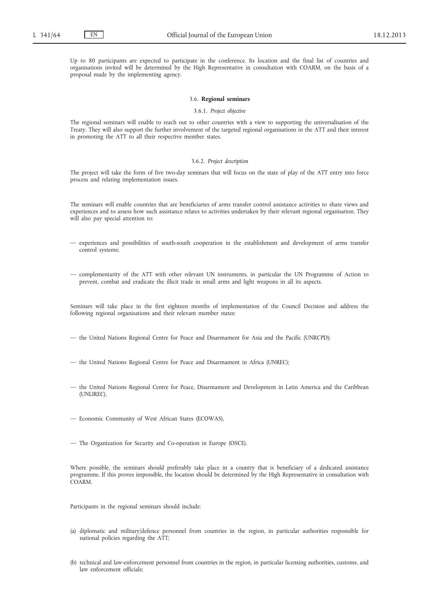Up to 80 participants are expected to participate in the conference. Its location and the final list of countries and organisations invited will be determined by the High Representative in consultation with COARM, on the basis of a proposal made by the implementing agency.

#### 3.6. **Regional seminars**

## 3.6.1. *Project objective*

The regional seminars will enable to reach out to other countries with a view to supporting the universalisation of the Treaty. They will also support the further involvement of the targeted regional organisations in the ATT and their interest in promoting the ATT to all their respective member states.

#### 3.6.2. *Project description*

The project will take the form of five two-day seminars that will focus on the state of play of the ATT entry into force process and relating implementation issues.

The seminars will enable countries that are beneficiaries of arms transfer control assistance activities to share views and experiences and to assess how such assistance relates to activities undertaken by their relevant regional organisation. They will also pay special attention to:

- experiences and possibilities of south-south cooperation in the establishment and development of arms transfer control systems;
- complementarity of the ATT with other relevant UN instruments, in particular the UN Programme of Action to prevent, combat and eradicate the illicit trade in small arms and light weapons in all its aspects.

Seminars will take place in the first eighteen months of implementation of the Council Decision and address the following regional organisations and their relevant member states:

- the United Nations Regional Centre for Peace and Disarmament for Asia and the Pacific (UNRCPD);
- the United Nations Regional Centre for Peace and Disarmament in Africa (UNREC);
- the United Nations Regional Centre for Peace, Disarmament and Development in Latin America and the Caribbean (UNLIREC),
- Economic Community of West African States (ECOWAS),
- The Organization for Security and Co-operation in Europe (OSCE).

Where possible, the seminars should preferably take place in a country that is beneficiary of a dedicated assistance programme. If this proves impossible, the location should be determined by the High Representative in consultation with COARM.

Participants in the regional seminars should include:

- (a) diplomatic and military/defence personnel from countries in the region, in particular authorities responsible for national policies regarding the ATT;
- (b) technical and law-enforcement personnel from countries in the region, in particular licensing authorities, customs, and law enforcement officials;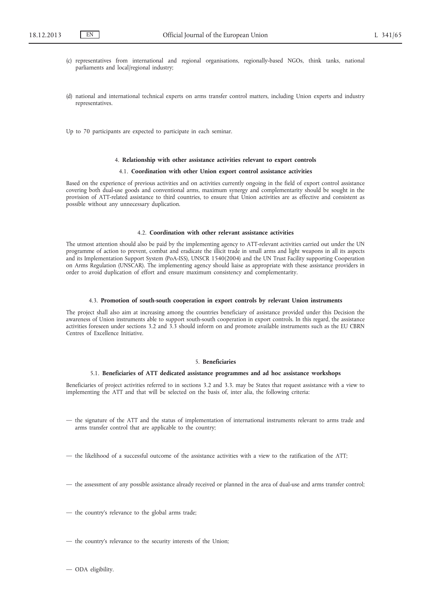- (c) representatives from international and regional organisations, regionally-based NGOs, think tanks, national parliaments and local/regional industry;
- (d) national and international technical experts on arms transfer control matters, including Union experts and industry representatives.

Up to 70 participants are expected to participate in each seminar.

#### 4. **Relationship with other assistance activities relevant to export controls**

## 4.1. **Coordination with other Union export control assistance activities**

Based on the experience of previous activities and on activities currently ongoing in the field of export control assistance covering both dual-use goods and conventional arms, maximum synergy and complementarity should be sought in the provision of ATT-related assistance to third countries, to ensure that Union activities are as effective and consistent as possible without any unnecessary duplication.

#### 4.2. **Coordination with other relevant assistance activities**

The utmost attention should also be paid by the implementing agency to ATT-relevant activities carried out under the UN programme of action to prevent, combat and eradicate the illicit trade in small arms and light weapons in all its aspects and its Implementation Support System (PoA-ISS), UNSCR 1540(2004) and the UN Trust Facility supporting Cooperation on Arms Regulation (UNSCAR). The implementing agency should liaise as appropriate with these assistance providers in order to avoid duplication of effort and ensure maximum consistency and complementarity.

## 4.3. **Promotion of south-south cooperation in export controls by relevant Union instruments**

The project shall also aim at increasing among the countries beneficiary of assistance provided under this Decision the awareness of Union instruments able to support south-south cooperation in export controls. In this regard, the assistance activities foreseen under sections 3.2 and 3.3 should inform on and promote available instruments such as the EU CBRN Centres of Excellence Initiative.

## 5. **Beneficiaries**

#### 5.1. **Beneficiaries of ATT dedicated assistance programmes and ad hoc assistance workshops**

Beneficiaries of project activities referred to in sections 3.2 and 3.3. may be States that request assistance with a view to implementing the ATT and that will be selected on the basis of, inter alia, the following criteria:

- the signature of the ATT and the status of implementation of international instruments relevant to arms trade and arms transfer control that are applicable to the country;
- the likelihood of a successful outcome of the assistance activities with a view to the ratification of the ATT;
- the assessment of any possible assistance already received or planned in the area of dual-use and arms transfer control;
- the country's relevance to the global arms trade;
- the country's relevance to the security interests of the Union;
- ODA eligibility.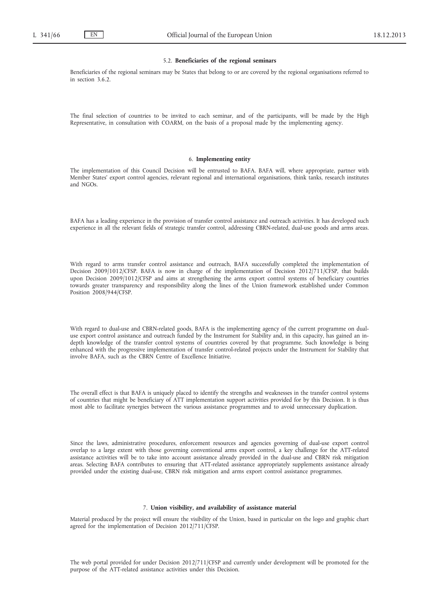#### 5.2. **Beneficiaries of the regional seminars**

Beneficiaries of the regional seminars may be States that belong to or are covered by the regional organisations referred to in section 3.6.2.

The final selection of countries to be invited to each seminar, and of the participants, will be made by the High Representative, in consultation with COARM, on the basis of a proposal made by the implementing agency.

#### 6. **Implementing entity**

The implementation of this Council Decision will be entrusted to BAFA. BAFA will, where appropriate, partner with Member States' export control agencies, relevant regional and international organisations, think tanks, research institutes and NGOs.

BAFA has a leading experience in the provision of transfer control assistance and outreach activities. It has developed such experience in all the relevant fields of strategic transfer control, addressing CBRN-related, dual-use goods and arms areas.

With regard to arms transfer control assistance and outreach, BAFA successfully completed the implementation of Decision 2009/1012/CFSP. BAFA is now in charge of the implementation of Decision 2012/711/CFSP, that builds upon Decision 2009/1012/CFSP and aims at strengthening the arms export control systems of beneficiary countries towards greater transparency and responsibility along the lines of the Union framework established under Common Position 2008/944/CFSP.

With regard to dual-use and CBRN-related goods, BAFA is the implementing agency of the current programme on dualuse export control assistance and outreach funded by the Instrument for Stability and, in this capacity, has gained an indepth knowledge of the transfer control systems of countries covered by that programme. Such knowledge is being enhanced with the progressive implementation of transfer control-related projects under the Instrument for Stability that involve BAFA, such as the CBRN Centre of Excellence Initiative.

The overall effect is that BAFA is uniquely placed to identify the strengths and weaknesses in the transfer control systems of countries that might be beneficiary of ATT implementation support activities provided for by this Decision. It is thus most able to facilitate synergies between the various assistance programmes and to avoid unnecessary duplication.

Since the laws, administrative procedures, enforcement resources and agencies governing of dual-use export control overlap to a large extent with those governing conventional arms export control, a key challenge for the ATT-related assistance activities will be to take into account assistance already provided in the dual-use and CBRN risk mitigation areas. Selecting BAFA contributes to ensuring that ATT-related assistance appropriately supplements assistance already provided under the existing dual-use, CBRN risk mitigation and arms export control assistance programmes.

## 7. **Union visibility, and availability of assistance material**

Material produced by the project will ensure the visibility of the Union, based in particular on the logo and graphic chart agreed for the implementation of Decision 2012/711/CFSP.

The web portal provided for under Decision 2012/711/CFSP and currently under development will be promoted for the purpose of the ATT-related assistance activities under this Decision.